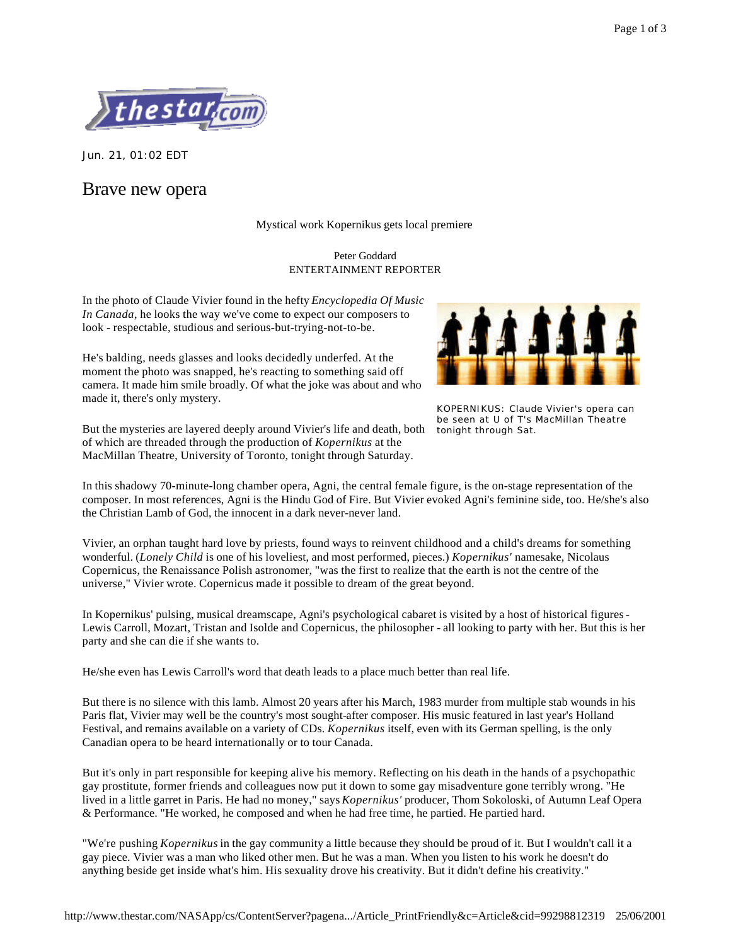

Jun. 21, 01:02 EDT

# Brave new opera

## Mystical work Kopernikus gets local premiere

#### Peter Goddard ENTERTAINMENT REPORTER

In the photo of Claude Vivier found in the hefty *Encyclopedia Of Music In Canada*, he looks the way we've come to expect our composers to look - respectable, studious and serious-but-trying-not-to-be.

He's balding, needs glasses and looks decidedly underfed. At the moment the photo was snapped, he's reacting to something said off camera. It made him smile broadly. Of what the joke was about and who made it, there's only mystery.

But the mysteries are layered deeply around Vivier's life and death, both of which are threaded through the production of *Kopernikus* at the MacMillan Theatre, University of Toronto, tonight through Saturday.



KOPERNIKUS: Claude Vivier's opera can be seen at U of T's MacMillan Theatre tonight through Sat.

In this shadowy 70-minute-long chamber opera, Agni, the central female figure, is the on-stage representation of the composer. In most references, Agni is the Hindu God of Fire. But Vivier evoked Agni's feminine side, too. He/she's also the Christian Lamb of God, the innocent in a dark never-never land.

Vivier, an orphan taught hard love by priests, found ways to reinvent childhood and a child's dreams for something wonderful. (*Lonely Child* is one of his loveliest, and most performed, pieces.) *Kopernikus'* namesake, Nicolaus Copernicus, the Renaissance Polish astronomer, "was the first to realize that the earth is not the centre of the universe," Vivier wrote. Copernicus made it possible to dream of the great beyond.

In Kopernikus' pulsing, musical dreamscape, Agni's psychological cabaret is visited by a host of historical figures - Lewis Carroll, Mozart, Tristan and Isolde and Copernicus, the philosopher - all looking to party with her. But this is her party and she can die if she wants to.

He/she even has Lewis Carroll's word that death leads to a place much better than real life.

But there is no silence with this lamb. Almost 20 years after his March, 1983 murder from multiple stab wounds in his Paris flat, Vivier may well be the country's most sought-after composer. His music featured in last year's Holland Festival, and remains available on a variety of CDs. *Kopernikus* itself, even with its German spelling, is the only Canadian opera to be heard internationally or to tour Canada.

But it's only in part responsible for keeping alive his memory. Reflecting on his death in the hands of a psychopathic gay prostitute, former friends and colleagues now put it down to some gay misadventure gone terribly wrong. "He lived in a little garret in Paris. He had no money," says *Kopernikus'* producer, Thom Sokoloski, of Autumn Leaf Opera & Performance. "He worked, he composed and when he had free time, he partied. He partied hard.

"We're pushing *Kopernikus* in the gay community a little because they should be proud of it. But I wouldn't call it a gay piece. Vivier was a man who liked other men. But he was a man. When you listen to his work he doesn't do anything beside get inside what's him. His sexuality drove his creativity. But it didn't define his creativity."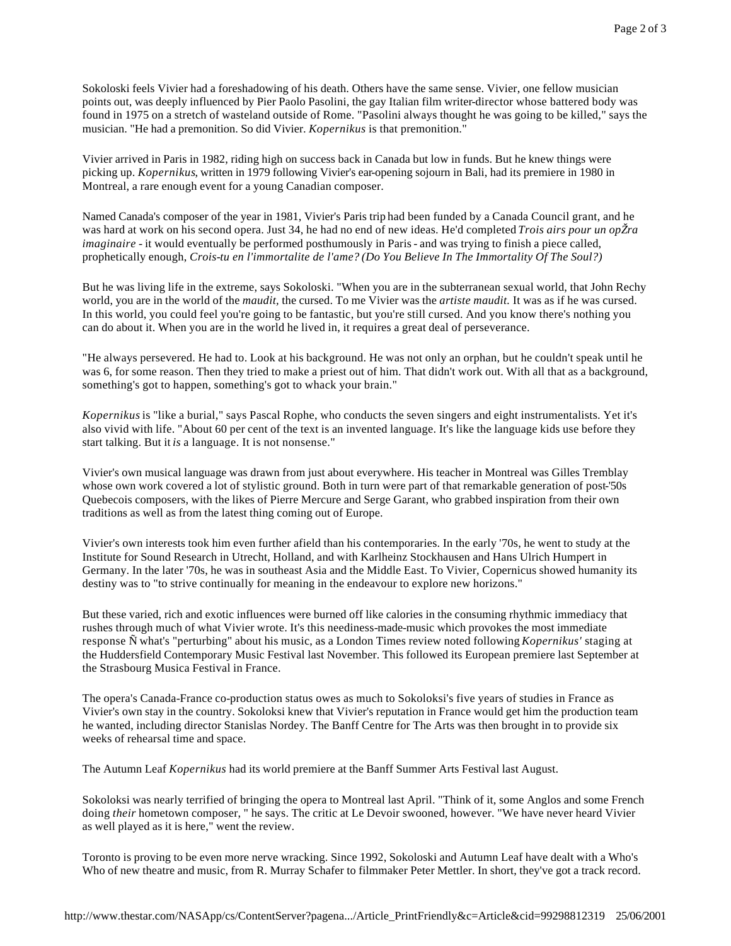Sokoloski feels Vivier had a foreshadowing of his death. Others have the same sense. Vivier, one fellow musician points out, was deeply influenced by Pier Paolo Pasolini, the gay Italian film writer-director whose battered body was found in 1975 on a stretch of wasteland outside of Rome. "Pasolini always thought he was going to be killed," says the musician. "He had a premonition. So did Vivier. *Kopernikus* is that premonition."

Vivier arrived in Paris in 1982, riding high on success back in Canada but low in funds. But he knew things were picking up. *Kopernikus*, written in 1979 following Vivier's ear-opening sojourn in Bali, had its premiere in 1980 in Montreal, a rare enough event for a young Canadian composer.

Named Canada's composer of the year in 1981, Vivier's Paris trip had been funded by a Canada Council grant, and he was hard at work on his second opera. Just 34, he had no end of new ideas. He'd completed *Trois airs pour un opŽra imaginaire* - it would eventually be performed posthumously in Paris - and was trying to finish a piece called, prophetically enough, *Crois-tu en l'immortalite de l'ame? (Do You Believe In The Immortality Of The Soul?)*

But he was living life in the extreme, says Sokoloski. "When you are in the subterranean sexual world, that John Rechy world, you are in the world of the *maudit,* the cursed. To me Vivier was the *artiste maudit.* It was as if he was cursed. In this world, you could feel you're going to be fantastic, but you're still cursed. And you know there's nothing you can do about it. When you are in the world he lived in, it requires a great deal of perseverance.

"He always persevered. He had to. Look at his background. He was not only an orphan, but he couldn't speak until he was 6, for some reason. Then they tried to make a priest out of him. That didn't work out. With all that as a background, something's got to happen, something's got to whack your brain."

*Kopernikus* is "like a burial," says Pascal Rophe, who conducts the seven singers and eight instrumentalists. Yet it's also vivid with life. "About 60 per cent of the text is an invented language. It's like the language kids use before they start talking. But it *is* a language. It is not nonsense."

Vivier's own musical language was drawn from just about everywhere. His teacher in Montreal was Gilles Tremblay whose own work covered a lot of stylistic ground. Both in turn were part of that remarkable generation of post-'50s Quebecois composers, with the likes of Pierre Mercure and Serge Garant, who grabbed inspiration from their own traditions as well as from the latest thing coming out of Europe.

Vivier's own interests took him even further afield than his contemporaries. In the early '70s, he went to study at the Institute for Sound Research in Utrecht, Holland, and with Karlheinz Stockhausen and Hans Ulrich Humpert in Germany. In the later '70s, he was in southeast Asia and the Middle East. To Vivier, Copernicus showed humanity its destiny was to "to strive continually for meaning in the endeavour to explore new horizons."

But these varied, rich and exotic influences were burned off like calories in the consuming rhythmic immediacy that rushes through much of what Vivier wrote. It's this neediness-made-music which provokes the most immediate response Ñ what's "perturbing" about his music, as a London Times review noted following *Kopernikus'* staging at the Huddersfield Contemporary Music Festival last November. This followed its European premiere last September at the Strasbourg Musica Festival in France.

The opera's Canada-France co-production status owes as much to Sokoloksi's five years of studies in France as Vivier's own stay in the country. Sokoloksi knew that Vivier's reputation in France would get him the production team he wanted, including director Stanislas Nordey. The Banff Centre for The Arts was then brought in to provide six weeks of rehearsal time and space.

The Autumn Leaf *Kopernikus* had its world premiere at the Banff Summer Arts Festival last August.

Sokoloksi was nearly terrified of bringing the opera to Montreal last April. "Think of it, some Anglos and some French doing *their* hometown composer, " he says. The critic at Le Devoir swooned, however. "We have never heard Vivier as well played as it is here," went the review.

Toronto is proving to be even more nerve wracking. Since 1992, Sokoloski and Autumn Leaf have dealt with a Who's Who of new theatre and music, from R. Murray Schafer to filmmaker Peter Mettler. In short, they've got a track record.